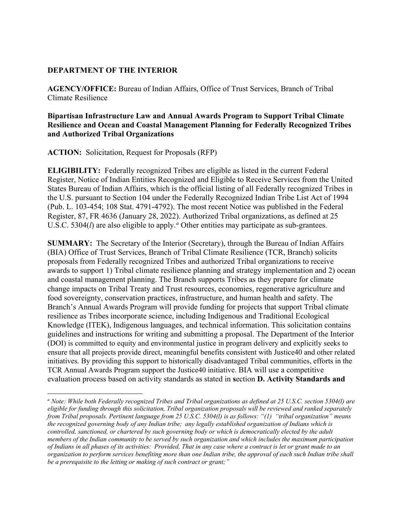#### **DEPARTMENT OF THE INTERIOR**

 **AGENCY/OFFICE:** Bureau of Indian Affairs, Office of Trust Services, Branch of Tribal Climate Resilience

#### **Bipartisan Infrastructure Law and Annual Awards Program to Support Tribal Climate Resilience and Ocean and Coastal Management Planning for Federally Recognized Tribes and Authorized Tribal Organizations**

**ACTION:** Solicitation, Request for Proposals (RFP)

 **ELIGIBILITY:** Federally recognized Tribes are eligible as listed in the current Federal States Bureau of Indian Affairs, which is the official listing of all Federally recognized Tribes in (Pub. L. 103-454; 108 Stat. 4791-4792). The most recent Notice was published in the Federal U.S.C. 5304(*l*) are also eligible to apply.<sup>*a*</sup> Other entities may participate as sub-grantees. Register, Notice of Indian Entities Recognized and Eligible to Receive Services from the United the U.S. pursuant to Section 104 under the Federally Recognized Indian Tribe List Act of 1994 Register, 87, FR 4636 (January 28, 2022). Authorized Tribal organizations, as defined at 25

 **SUMMARY:** The Secretary of the Interior (Secretary), through the Bureau of Indian Affairs (BIA) Office of Trust Services, Branch of Tribal Climate Resilience (TCR, Branch) solicits awards to support 1) Tribal climate resilience planning and strategy implementation and 2) ocean and coastal management planning. The Branch supports Tribes as they prepare for climate change impacts on Tribal Treaty and Trust resources, economies, regenerative agriculture and Knowledge (ITEK), Indigenous languages, and technical information. This solicitation contains evaluation process based on activity standards as stated in **s**ection **D. Activity Standards and**  proposals from Federally recognized Tribes and authorized Tribal organizations to receive food sovereignty, conservation practices, infrastructure, and human health and safety. The Branch's Annual Awards Program will provide funding for projects that support Tribal climate resilience as Tribes incorporate science, including Indigenous and Traditional Ecological guidelines and instructions for writing and submitting a proposal. The Department of the Interior (DOI) is committed to equity and environmental justice in program delivery and explicitly seeks to ensure that all projects provide direct, meaningful benefits consistent with Justice40 and other related initiatives. By providing this support to historically disadvantaged Tribal communities, efforts in the TCR Annual Awards Program support the Justice40 initiative. BIA will use a competitive

<sup>&</sup>lt;sup>a</sup> Note: While both Federally recognized Tribes and Tribal organizations as defined at 25 U.S.C. section 5304(l) are  *eligible for funding through this solicitation, Tribal organization proposals will be reviewed and ranked separately from Tribal proposals. Pertinent language from 25 U.S.C. 5304(l) is as follows: "(1) "tribal organization" means   the recognized governing body of any Indian tribe; any legally established organization of Indians which is controlled, sanctioned, or chartered by such governing body or which is democratically elected by the adult members of the Indian community to be served by such organization and which includes the maximum participation*  of Indians in all phases of its activities: Provided, That in any case where a contract is let or grant made to an  *organization to perform services benefiting more than one Indian tribe, the approval of each such Indian tribe shall be a prerequisite to the letting or making of such contract or grant;"*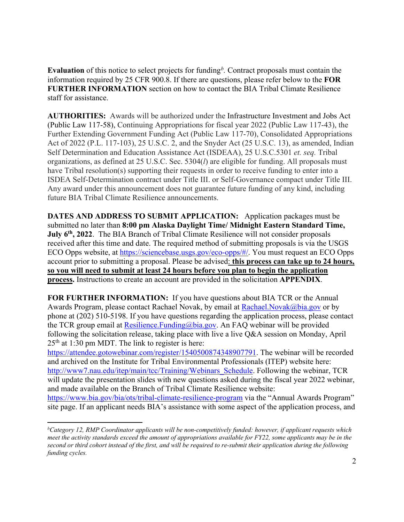<span id="page-1-0"></span> information required by 25 CFR 900.8. If there are questions, please refer below to the **FOR Evaluation** of this notice to select projects for funding*[b](#page-1-1) .* Contract proposals must contain the **FURTHER INFORMATION** section on how to contact the BIA Tribal Climate Resilience staff for assistance.

 have Tribal resolution(s) supporting their requests in order to receive funding to enter into a **AUTHORITIES:** Awards will be authorized under the Infrastructure Investment and Jobs Act (Public Law 117-58), Continuing Appropriations for fiscal year 2022 (Public Law 117-43), the Further Extending Government Funding Act (Public Law 117-70), Consolidated Appropriations Act of 2022 (P.L. 117-103), 25 U.S.C. 2, and the Snyder Act (25 U.S.C. 13), as amended, Indian Self Determination and Education Assistance Act (ISDEAA), 25 U.S.C.5301 *et. seq.* Tribal organizations, as defined at 25 U.S.C. Sec. 5304(*l*) are eligible for funding. All proposals must ISDEA Self-Determination contract under Title III. or Self-Governance compact under Title III. Any award under this announcement does not guarantee future funding of any kind, including future BIA Tribal Climate Resilience announcements.

 **DATES AND ADDRESS TO SUBMIT APPLICATION:** Application packages must be **July 6th, 2022**. The BIA Branch of Tribal Climate Resilience will not consider proposals received after this time and date. The required method of submitting proposals is via the USGS submitted no later than **8:00 pm Alaska Daylight Time/ Midnight Eastern Standard Time,**  ECO Opps website, at [h](https://sciencebase.usgs.gov/eco-opps/#/)[ttps://sciencebase.usgs.gov/eco-opps](https://sciencebase.usgs.gov/eco-opps)[/#/.](https://sciencebase.usgs.gov/eco-opps/#/) You must request an ECO Opps account prior to submitting a proposal. Please be advised: **this process can take up to 24 hours, so you will need to submit at least 24 hours before you plan to begin the application process.** Instructions to create an account are provided in the solicitation **APPENDIX**.

 **FOR FURTHER INFORMATION:** If you have questions about BIA TCR or the Annual Awards Program, please contact Rachael Novak, by email at [Rachael.Novak@bia.gov](mailto:Rachael.Novak@bia.gov) or by phone at (202) 510-5198. If you have questions regarding the application process, please contact the TCR group email at Resilience. Funding  $@bia.gov$ . An FAQ webinar will be provided following the solicitation release, taking place with live a live Q&A session on Monday, April  $25<sup>th</sup>$  at 1:30 pm MDT. The link to register is here:

 and made available on the Branch of Tribal Climate Resilience website: [https://attendee.gotowebinar.com/register/1540500874348907791.](https://attendee.gotowebinar.com/register/1540500874348907791) The webinar will be recorded and archived on the Institute for Tribal Environmental Professionals (ITEP) website here: [http://www7.nau.edu/itep/main/tcc/Training/Webinars\\_Schedule.](http://www7.nau.edu/itep/main/tcc/Training/Webinars_Schedule) Following the webinar, TCR will update the presentation slides with new questions asked during the fiscal year 2022 webinar,

<https://www.bia.gov/bia/ots/tribal-climate-resilience-program>via the "Annual Awards Program" site page. If an applicant needs BIA's assistance with some aspect of the application process, and

<span id="page-1-1"></span> *b Category 12, RMP Coordinator applicants will be non-competitively funded: however, if applicant requests which meet the activity standards exceed the amount of appropriations available for FY22, some applicants may be in the second or third cohort instead of the first, and will be required to re-submit their application during the following funding cycles.*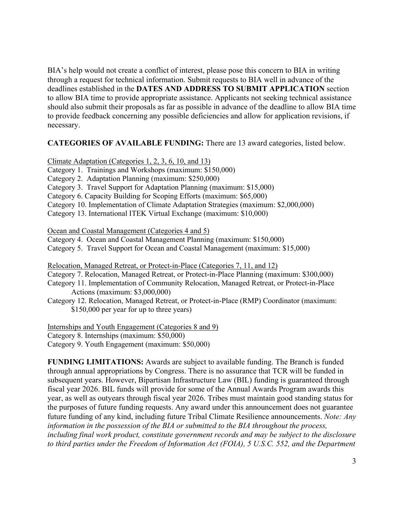BIA's help would not create a conflict of interest, please pose this concern to BIA in writing through a request for technical information. Submit requests to BIA well in advance of the deadlines established in the **DATES AND ADDRESS TO SUBMIT APPLICATION** section to allow BIA time to provide appropriate assistance. Applicants not seeking technical assistance should also submit their proposals as far as possible in advance of the deadline to allow BIA time to provide feedback concerning any possible deficiencies and allow for application revisions, if necessary.

# **CATEGORIES OF AVAILABLE FUNDING:** There are 13 award categories, listed below.<br>Climate Adaptation (Categories 1, 2, 3, 6, 10, and 13)

Climate Adaptation (Categories 1, 2, 3, 6, 10, and 13)

Category 1. Trainings and Workshops (maximum: \$150,000)

Category 2. Adaptation Planning (maximum: \$250,000)

Category 3. Travel Support for Adaptation Planning (maximum: \$15,000)

Category 6. Capacity Building for Scoping Efforts (maximum: \$65,000)

Category 10. Implementation of Climate Adaptation Strategies (maximum: \$2,000,000)

Category 13. International ITEK Virtual Exchange (maximum: \$10,000)

Ocean and Coastal Management (Categories 4 and 5)

Category 4. Ocean and Coastal Management Planning (maximum: \$150,000)

Category 5. Travel Support for Ocean and Coastal Management (maximum: \$15,000)

Relocation, Managed Retreat, or Protect-in-Place (Categories 7, 11, and 12)

Category 7. Relocation, Managed Retreat, or Protect-in-Place Planning (maximum: \$300,000)

Category 11. Implementation of Community Relocation, Managed Retreat, or Protect-in-Place Actions (maximum: \$3,000,000)

Category 12. Relocation, Managed Retreat, or Protect-in-Place (RMP) Coordinator (maximum: \$150,000 per year for up to three years)

 Internships and Youth Engagement (Categories 8 and 9) Category 8. Internships (maximum: \$50,000) Category 9. Youth Engagement (maximum: \$50,000)

 year, as well as outyears through fiscal year 2026. Tribes must maintain good standing status for to third parties under the Freedom of Information Act (FOIA), 5 U.S.C. 552, and the Department **FUNDING LIMITATIONS:** Awards are subject to available funding. The Branch is funded through annual appropriations by Congress. There is no assurance that TCR will be funded in subsequent years. However, Bipartisan Infrastructure Law (BIL) funding is guaranteed through fiscal year 2026. BIL funds will provide for some of the Annual Awards Program awards this the purposes of future funding requests. Any award under this announcement does not guarantee future funding of any kind, including future Tribal Climate Resilience announcements. *Note: Any information in the possession of the BIA or submitted to the BIA throughout the process, including final work product, constitute government records and may be subject to the disclosure*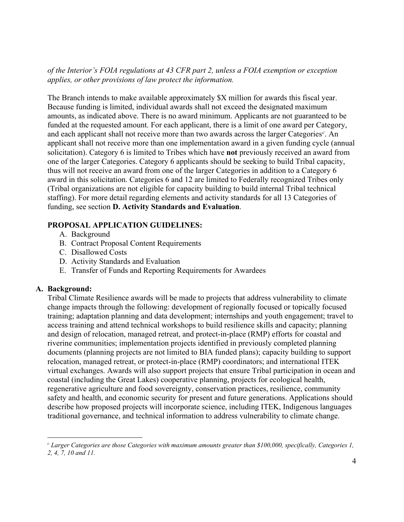*of the Interior's FOIA regulations at 43 CFR part 2, unless a FOIA exemption or exception applies, or other provisions of law protect the information.* 

 The Branch intends to make available approximately \$X million for awards this fiscal year. applicant shall not receive more than one implementation award in a given funding cycle (annual solicitation). Category 6 is limited to Tribes which have **not** previously received an award from (Tribal organizations are not eligible for capacity building to build internal Tribal technical  funding, see section **D. Activity Standards and Evaluation**. Because funding is limited, individual awards shall not exceed the designated maximum amounts, as indicated above. There is no award minimum. Applicants are not guaranteed to be funded at the requested amount. For each applicant, there is a limit of one award per Category, and each applicant shall not receive more than two awards across the larger Categories*[c](#page-3-0)* . An one of the larger Categories. Category 6 applicants should be seeking to build Tribal capacity, thus will not receive an award from one of the larger Categories in addition to a Category 6 award in this solicitation. Categories 6 and 12 are limited to Federally recognized Tribes only staffing). For more detail regarding elements and activity standards for all 13 Categories of

# **PROPOSAL APPLICATION GUIDELINES:**

- A. Background
- B. Contract Proposal Content Requirements
- C. Disallowed Costs
- D. Activity Standards and Evaluation
- E. Transfer of Funds and Reporting Requirements for Awardees

# **A. Background:**

 access training and attend technical workshops to build resilience skills and capacity; planning documents (planning projects are not limited to BIA funded plans); capacity building to support relocation, managed retreat, or protect-in-place (RMP) coordinators; and international ITEK virtual exchanges. Awards will also support projects that ensure Tribal participation in ocean and traditional governance, and technical information to address vulnerability to climate change. Tribal Climate Resilience awards will be made to projects that address vulnerability to climate change impacts through the following: development of regionally focused or topically focused training; adaptation planning and data development; internships and youth engagement; travel to and design of relocation, managed retreat, and protect-in-place (RMP) efforts for coastal and riverine communities; implementation projects identified in previously completed planning coastal (including the Great Lakes) cooperative planning, projects for ecological health, regenerative agriculture and food sovereignty, conservation practices, resilience, community safety and health, and economic security for present and future generations. Applications should describe how proposed projects will incorporate science, including ITEK, Indigenous languages

<span id="page-3-0"></span> *c Larger Categories are those Categories with maximum amounts greater than \$100,000, specifically, Categories 1, 2, 4, 7, 10 and 11.*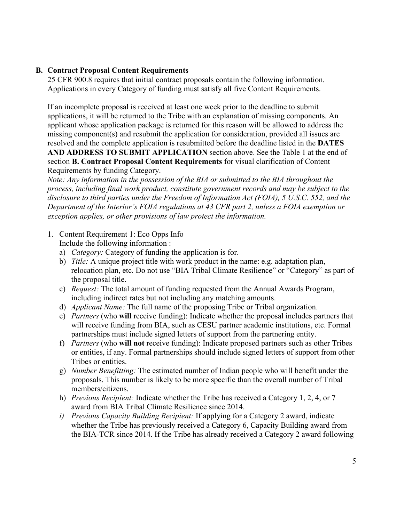# **B. Contract Proposal Content Requirements**

25 CFR 900.8 requires that initial contract proposals contain the following information. Applications in every Category of funding must satisfy all five Content Requirements.

 missing component(s) and resubmit the application for consideration, provided all issues are **AND ADDRESS TO SUBMIT APPLICATION** section above. See the Table 1 at the end of If an incomplete proposal is received at least one week prior to the deadline to submit applications, it will be returned to the Tribe with an explanation of missing components. An applicant whose application package is returned for this reason will be allowed to address the resolved and the complete application is resubmitted before the deadline listed in the **DATES**  section **B. Contract Proposal Content Requirements** for visual clarification of Content Requirements by funding Category.

 *process, including final work product, constitute government records and may be subject to the Department of the Interior's FOIA regulations at 43 CFR part 2, unless a FOIA exemption or Note: Any information in the possession of the BIA or submitted to the BIA throughout the disclosure to third parties under the Freedom of Information Act (FOIA), 5 U.S.C. 552, and the exception applies, or other provisions of law protect the information.* 

#### 1. Content Requirement 1: Eco Opps Info

Include the following information:

- Include the following information :<br>a) *Category:* Category of funding the application is for.
- b) *Title:* A unique project title with work product in the name: e.g. adaptation plan, relocation plan, etc. Do not use "BIA Tribal Climate Resilience" or "Category" as part of the proposal title.
- c) *Request:* The total amount of funding requested from the Annual Awards Program, including indirect rates but not including any matching amounts.
- d) *Applicant Name:* The full name of the proposing Tribe or Tribal organization.
- e) *Partners* (who **will** receive funding): Indicate whether the proposal includes partners that will receive funding from BIA, such as CESU partner academic institutions, etc. Formal partnerships must include signed letters of support from the partnering entity.
- f) *Partners* (who **will not** receive funding): Indicate proposed partners such as other Tribes or entities, if any. Formal partnerships should include signed letters of support from other Tribes or entities.
- g) *Number Benefitting:* The estimated number of Indian people who will benefit under the proposals. This number is likely to be more specific than the overall number of Tribal members/citizens.
- award from BIA Tribal Climate Resilience since 2014. h) *Previous Recipient:* Indicate whether the Tribe has received a Category 1, 2, 4, or 7
- *i) Previous Capacity Building Recipient:* If applying for a Category 2 award, indicate whether the Tribe has previously received a Category 6, Capacity Building award from the BIA-TCR since 2014. If the Tribe has already received a Category 2 award following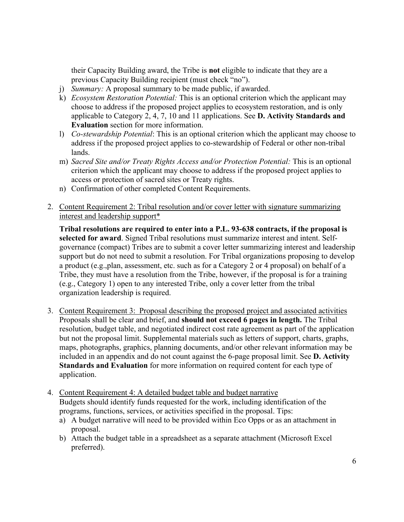their Capacity Building award, the Tribe is **not** eligible to indicate that they are a previous Capacity Building recipient (must check "no").

- j) *Summary:* A proposal summary to be made public, if awarded.
- k) *Ecosystem Restoration Potential:* This is an optional criterion which the applicant may choose to address if the proposed project applies to ecosystem restoration, and is only applicable to Category 2, 4, 7, 10 and 11 applications. See **D. Activity Standards and Evaluation** section for more information.
- l) *Co-stewardship Potential*: This is an optional criterion which the applicant may choose to address if the proposed project applies to co-stewardship of Federal or other non-tribal lands.
- m) *Sacred Site and/or Treaty Rights Access and/or Protection Potential:* This is an optional criterion which the applicant may choose to address if the proposed project applies to access or protection of sacred sites or Treaty rights.
- n) Confirmation of other completed Content Requirements.
- 2. Content Requirement 2: Tribal resolution and/or cover letter with signature summarizing interest and leadership support\*

 support but do not need to submit a resolution. For Tribal organizations proposing to develop Tribe, they must have a resolution from the Tribe, however, if the proposal is for a training organization leadership is required. **Tribal resolutions are required to enter into a P.L. 93-638 contracts, if the proposal is selected for award**. Signed Tribal resolutions must summarize interest and intent. Selfgovernance (compact) Tribes are to submit a cover letter summarizing interest and leadership a product (e.g.,plan, assessment, etc. such as for a Category 2 or 4 proposal) on behalf of a (e.g., Category 1) open to any interested Tribe, only a cover letter from the tribal

- 3. Content Requirement 3: Proposal describing the proposed project and associated activities maps, photographs, graphics, planning documents, and/or other relevant information may be **Standards and Evaluation** for more information on required content for each type of Proposals shall be clear and brief, and **should not exceed 6 pages in length.** The Tribal resolution, budget table, and negotiated indirect cost rate agreement as part of the application but not the proposal limit. Supplemental materials such as letters of support, charts, graphs, included in an appendix and do not count against the 6-page proposal limit. See **D. Activity**  application.
- 4. Content Requirement 4: A detailed budget table and budget narrative Budgets should identify funds requested for the work, including identification of the programs, functions, services, or activities specified in the proposal. Tips:
	- a) A budget narrative will need to be provided within Eco Opps or as an attachment in proposal.
	- b) Attach the budget table in a spreadsheet as a separate attachment (Microsoft Excel preferred).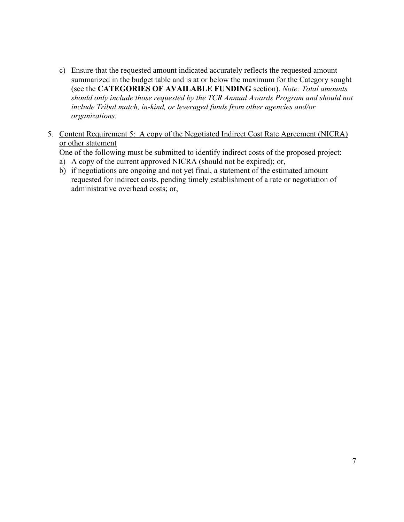- summarized in the budget table and is at or below the maximum for the Category sought  *should only include those requested by the TCR Annual Awards Program and should not include Tribal match, in-kind, or leveraged funds from other agencies and/or*  c) Ensure that the requested amount indicated accurately reflects the requested amount (see the **CATEGORIES OF AVAILABLE FUNDING** section). *Note: Total amounts organizations.*
- 5. Content Requirement 5: A copy of the Negotiated Indirect Cost Rate Agreement (NICRA) or other statement

One of the following must be submitted to identify indirect costs of the proposed project: a) A copy of the current approved NICRA (should not be expired); or,

- 
- administrative overhead costs; or, b) if negotiations are ongoing and not yet final, a statement of the estimated amount requested for indirect costs, pending timely establishment of a rate or negotiation of administrative overhead costs; or, 7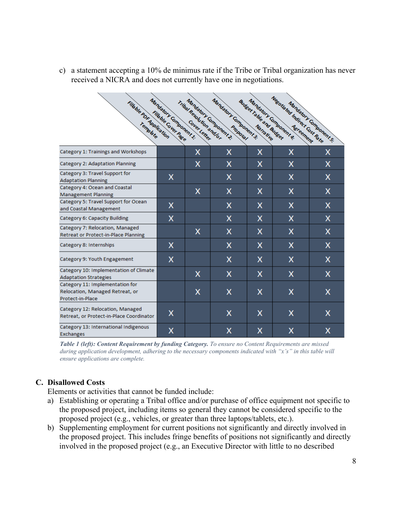c) a statement accepting a 10% de minimus rate if the Tribe or Tribal organization has never received a NICRA and does not currently have one in negotiations.

| Fileble PDF Application                                                                | Mandatory Component 1:<br>Fills ble Cover Page | Tribal Resolution and Gr. | Mandatory Component 3:<br>Mandatory Gmponent 2. | <b>Audisch Table and Audisch</b> | Negotiated Indirect Cost Rate<br>Mandatory Component & | Mandalon Components: |
|----------------------------------------------------------------------------------------|------------------------------------------------|---------------------------|-------------------------------------------------|----------------------------------|--------------------------------------------------------|----------------------|
| Category 1: Trainings and Workshops                                                    |                                                | x                         | x                                               | x                                | x                                                      | х                    |
| Category 2: Adaptation Planning                                                        |                                                | x                         | X                                               | x                                | X                                                      | x                    |
| Category 3: Travel Support for<br><b>Adaptation Planning</b>                           | X                                              |                           | x                                               | x                                | X                                                      | x                    |
| Category 4: Ocean and Coastal<br><b>Management Planning</b>                            |                                                | x                         | x                                               | x                                | X                                                      | x                    |
| Category 5: Travel Support for Ocean<br>and Coastal Management                         | x                                              |                           | x                                               | x                                | X                                                      | x                    |
| Category 6: Capacity Building                                                          | x                                              |                           | x                                               | x                                | x                                                      | x                    |
| Category 7: Relocation, Managed<br>Retreat or Protect-in-Place Planning                |                                                | X                         | x                                               | x                                | x                                                      | x                    |
| Category 8: Internships                                                                | X                                              |                           | X                                               | x                                | x                                                      | x                    |
| Category 9: Youth Engagement                                                           | X                                              |                           | x                                               | x                                | X                                                      | х                    |
| Category 10: Implementation of Climate<br><b>Adaptation Strategies</b>                 |                                                | x                         | x                                               | x                                | X                                                      | x                    |
| Category 11: Implementation for<br>Relocation, Managed Retreat, or<br>Protect-in-Place |                                                | x                         | x                                               | x                                | x                                                      | x                    |
| Category 12: Relocation, Managed<br>Retreat, or Protect-in-Place Coordinator           | x                                              |                           | X                                               | x                                | X                                                      | x                    |
| Category 13: International Indigenous<br><b>Exchanges</b>                              | x                                              |                           | x                                               | X                                | X                                                      | x                    |

*Table 1 (left): Content Requirement by funding Category. To ensure no Content Requirements are missed during application development, adhering to the necessary components indicated with "x's" in this table will ensure applications are complete.* 

# **C. Disallowed Costs**

Elements or activities that cannot be funded include:

- the proposed project, including items so general they cannot be considered specific to the a) Establishing or operating a Tribal office and/or purchase of office equipment not specific to proposed project (e.g., vehicles, or greater than three laptops/tablets, etc.).
- b) Supplementing employment for current positions not significantly and directly involved in the proposed project. This includes fringe benefits of positions not significantly and directly involved in the proposed project (e.g., an Executive Director with little to no described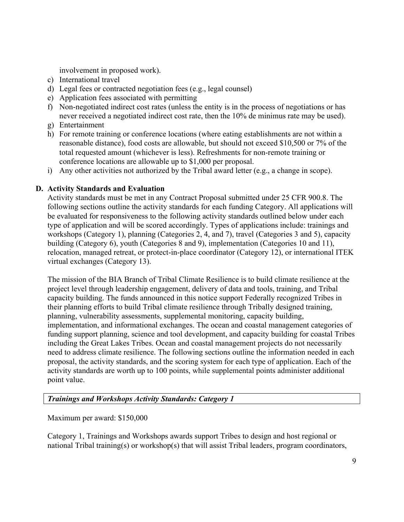involvement in proposed work).

- c) International travel
- d) Legal fees or contracted negotiation fees (e.g., legal counsel)
- e) Application fees associated with permitting
- f) Non-negotiated indirect cost rates (unless the entity is in the process of negotiations or has never received a negotiated indirect cost rate, then the 10% de minimus rate may be used).
- g) Entertainment
- h) For remote training or conference locations (where eating establishments are not within a total requested amount (whichever is less). Refreshments for non-remote training or reasonable distance), food costs are allowable, but should not exceed \$10,500 or 7% of the conference locations are allowable up to \$1,000 per proposal.
- i) Any other activities not authorized by the Tribal award letter (e.g., a change in scope).

# **D. Activity Standards and Evaluation**

 Activity standards must be met in any Contract Proposal submitted under 25 CFR 900.8. The type of application and will be scored accordingly. Types of applications include: trainings and relocation, managed retreat, or protect-in-place coordinator (Category 12), or international ITEK virtual exchanges (Category 13). following sections outline the activity standards for each funding Category. All applications will be evaluated for responsiveness to the following activity standards outlined below under each workshops (Category 1), planning (Categories 2, 4, and 7), travel (Categories 3 and 5), capacity building (Category 6), youth (Categories 8 and 9), implementation (Categories 10 and 11),

 The mission of the BIA Branch of Tribal Climate Resilience is to build climate resilience at the capacity building. The funds announced in this notice support Federally recognized Tribes in funding support planning, science and tool development, and capacity building for coastal Tribes proposal, the activity standards, and the scoring system for each type of application. Each of the project level through leadership engagement, delivery of data and tools, training, and Tribal their planning efforts to build Tribal climate resilience through Tribally designed training, planning, vulnerability assessments, supplemental monitoring, capacity building, implementation, and informational exchanges. The ocean and coastal management categories of including the Great Lakes Tribes. Ocean and coastal management projects do not necessarily need to address climate resilience. The following sections outline the information needed in each activity standards are worth up to 100 points, while supplemental points administer additional point value.

# *Trainings and Workshops Activity Standards: Category 1*

Maximum per award: \$150,000

 Category 1, Trainings and Workshops awards support Tribes to design and host regional or national Tribal training(s) or workshop(s) that will assist Tribal leaders, program coordinators,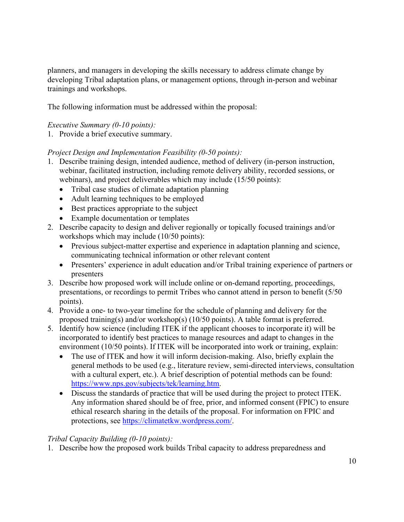trainings and workshops. planners, and managers in developing the skills necessary to address climate change by developing Tribal adaptation plans, or management options, through in-person and webinar

The following information must be addressed within the proposal:

# *Executive Summary (0-10 points):*

1. Provide a brief executive summary.

# *Project Design and Implementation Feasibility (0-50 points):*

- 1. Describe training design, intended audience, method of delivery (in-person instruction, webinar, facilitated instruction, including remote delivery ability, recorded sessions, or webinars), and project deliverables which may include (15/50 points):
	- Tribal case studies of climate adaptation planning
	- Adult learning techniques to be employed
	- Best practices appropriate to the subject
	- Example documentation or templates
- 2. Describe capacity to design and deliver regionally or topically focused trainings and/or workshops which may include (10/50 points):
	- Previous subject-matter expertise and experience in adaptation planning and science, communicating technical information or other relevant content
	- Presenters' experience in adult education and/or Tribal training experience of partners or presenters
- 3. Describe how proposed work will include online or on-demand reporting, proceedings, presentations, or recordings to permit Tribes who cannot attend in person to benefit (5/50 points).
- 4. Provide a one- to two-year timeline for the schedule of planning and delivery for the proposed training(s) and/or workshop(s) (10/50 points). A table format is preferred.
- incorporated to identify best practices to manage resources and adapt to changes in the environment (10/50 points). If ITEK will be incorporated into work or training, explain: 5. Identify how science (including ITEK if the applicant chooses to incorporate it) will be
	- • The use of ITEK and how it will inform decision-making. Also, briefly explain the general methods to be used (e.g., literature review, semi-directed interviews, consultation with a cultural expert, etc.). A brief description of potential methods can be found: [https://www.nps.gov/subjects/tek/learning.htm.](https://www.nps.gov/subjects/tek/learning.htm)
	- Any information shared should be of free, prior, and informed consent (FPIC) to ensure • Discuss the standards of practice that will be used during the project to protect ITEK. ethical research sharing in the details of the proposal. For information on FPIC and protections, see [https://climatetkw.wordpress.com/.](https://climatetkw.wordpress.com/)

# *Tribal Capacity Building (0-10 points):*

1. Describe how the proposed work builds Tribal capacity to address preparedness and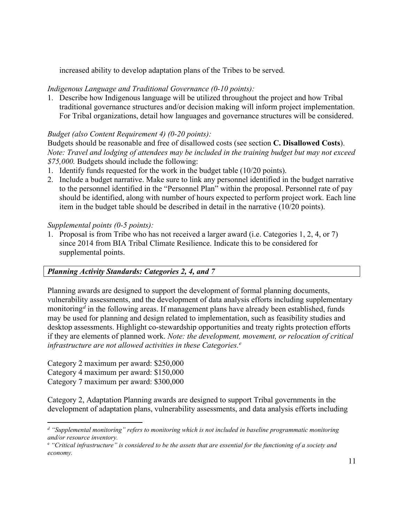increased ability to develop adaptation plans of the Tribes to be served.

# *Indigenous Language and Traditional Governance (0-10 points):*

1. Describe how Indigenous language will be utilized throughout the project and how Tribal traditional governance structures and/or decision making will inform project implementation. For Tribal organizations, detail how languages and governance structures will be considered.

# *Budget (also Content Requirement 4) (0-20 points):*

 *Note: Travel and lodging of attendees may be included in the training budget but may not exceed \$75,000.* Budgets should include the following: Budgets should be reasonable and free of disallowed costs (see section **C. Disallowed Costs**).

- 1. Identify funds requested for the work in the budget table (10/20 points).
- to the personnel identified in the "Personnel Plan" within the proposal. Personnel rate of pay item in the budget table should be described in detail in the narrative (10/20 points). 2. Include a budget narrative. Make sure to link any personnel identified in the budget narrative should be identified, along with number of hours expected to perform project work. Each line

# *Supplemental points (0-5 points):*

 1. Proposal is from Tribe who has not received a larger award (i.e. Categories 1, 2, 4, or 7) since 2014 from BIA Tribal Climate Resilience. Indicate this to be considered for supplemental points.

# *Planning Activity Standards: Categories 2, 4, and 7*

 monitoring*[d](#page-10-0)* in the following areas. If management plans have already been established, funds  if they are elements of planned work. *Note: the development, movement, or relocation of critical infrastructure are not allowed activities in these Categories. [e](#page-10-1)*  Planning awards are designed to support the development of formal planning documents, vulnerability assessments, and the development of data analysis efforts including supplementary may be used for planning and design related to implementation, such as feasibility studies and desktop assessments. Highlight co-stewardship opportunities and treaty rights protection efforts

Category 2 maximum per award: \$250,000 Category 4 maximum per award: \$150,000 Category 7 maximum per award: \$300,000

 Category 2, Adaptation Planning awards are designed to support Tribal governments in the development of adaptation plans, vulnerability assessments, and data analysis efforts including

<span id="page-10-0"></span> *d "Supplemental monitoring" refers to monitoring which is not included in baseline programmatic monitoring and/or resource inventory.* 

<span id="page-10-1"></span><sup>&</sup>lt;sup>e</sup> "Critical infrastructure" is considered to be the assets that are essential for the functioning of a society and *economy.*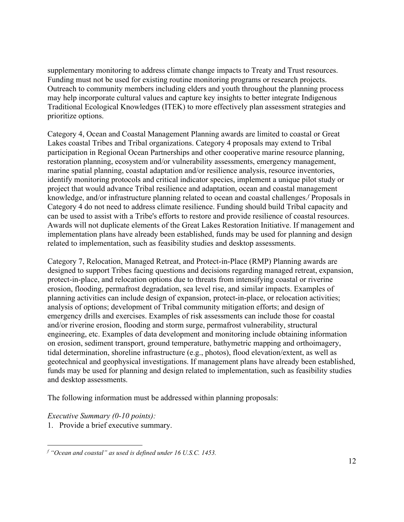supplementary monitoring to address climate change impacts to Treaty and Trust resources. Outreach to community members including elders and youth throughout the planning process may help incorporate cultural values and capture key insights to better integrate Indigenous Traditional Ecological Knowledges (ITEK) to more effectively plan assessment strategies and prioritize options. Funding must not be used for existing routine monitoring programs or research projects.

 Lakes coastal Tribes and Tribal organizations. Category 4 proposals may extend to Tribal participation in Regional Ocean Partnerships and other cooperative marine resource planning, marine spatial planning, coastal adaptation and/or resilience analysis, resource inventories, identify monitoring protocols and critical indicator species, implement a unique pilot study or can be used to assist with a Tribe's efforts to restore and provide resilience of coastal resources. Category 4, Ocean and Coastal Management Planning awards are limited to coastal or Great restoration planning, ecosystem and/or vulnerability assessments, emergency management, project that would advance Tribal resilience and adaptation, ocean and coastal management knowledge, and/or infrastructure planning related to ocean and coastal challenges.*[f](#page-11-0)* Proposals in Category 4 do not need to address climate resilience. Funding should build Tribal capacity and Awards will not duplicate elements of the Great Lakes Restoration Initiative. If management and implementation plans have already been established, funds may be used for planning and design related to implementation, such as feasibility studies and desktop assessments.

 designed to support Tribes facing questions and decisions regarding managed retreat, expansion, analysis of options; development of Tribal community mitigation efforts; and design of and desktop assessments. Category 7, Relocation, Managed Retreat, and Protect-in-Place (RMP) Planning awards are protect-in-place, and relocation options due to threats from intensifying coastal or riverine erosion, flooding, permafrost degradation, sea level rise, and similar impacts. Examples of planning activities can include design of expansion, protect-in-place, or relocation activities; emergency drills and exercises. Examples of risk assessments can include those for coastal and/or riverine erosion, flooding and storm surge, permafrost vulnerability, structural engineering, etc. Examples of data development and monitoring include obtaining information on erosion, sediment transport, ground temperature, bathymetric mapping and orthoimagery, tidal determination, shoreline infrastructure (e.g., photos), flood elevation/extent, as well as geotechnical and geophysical investigations. If management plans have already been established, funds may be used for planning and design related to implementation, such as feasibility studies

and desktop assessments.<br>The following information must be addressed within planning proposals:

 *Executive Summary (0-10 points):* 

1. Provide a brief executive summary.

<span id="page-11-0"></span> *f "Ocean and coastal" as used is defined under 16 U.S.C. 1453.*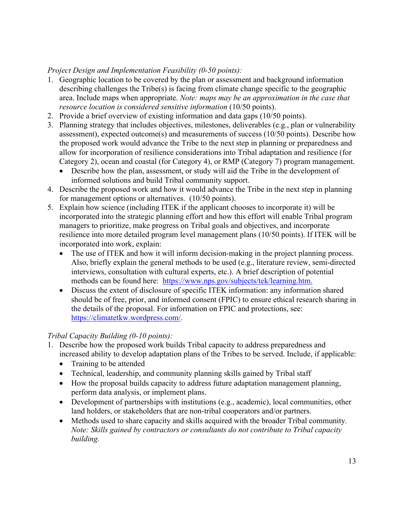# *Project Design and Implementation Feasibility (0-50 points):*

- 1. Geographic location to be covered by the plan or assessment and background information describing challenges the Tribe(s) is facing from climate change specific to the geographic area. Include maps when appropriate. *Note: maps may be an approximation in the case that resource location is considered sensitive information* (10/50 points).
- 2. Provide a brief overview of existing information and data gaps (10/50 points).
- the proposed work would advance the Tribe to the next step in planning or preparedness and Category 2), ocean and coastal (for Category 4), or RMP (Category 7) program management. 3. Planning strategy that includes objectives, milestones, deliverables (e.g., plan or vulnerability assessment), expected outcome(s) and measurements of success (10/50 points). Describe how allow for incorporation of resilience considerations into Tribal adaptation and resilience (for
	- • Describe how the plan, assessment, or study will aid the Tribe in the development of informed solutions and build Tribal community support.
- 4. Describe the proposed work and how it would advance the Tribe in the next step in planning for management options or alternatives. (10/50 points).
- 5. Explain how science (including ITEK if the applicant chooses to incorporate it) will be resilience into more detailed program level management plans (10/50 points). If ITEK will be incorporated into the strategic planning effort and how this effort will enable Tribal program managers to prioritize, make progress on Tribal goals and objectives, and incorporate incorporated into work, explain:
	- • The use of ITEK and how it will inform decision-making in the project planning process. methods can be found here: [https://www.nps.gov/subjects/tek/learning.htm.](https://www.nps.gov/subjects/tek/learning.htm) Also, briefly explain the general methods to be used (e.g., literature review, semi-directed interviews, consultation with cultural experts, etc.). A brief description of potential
	- should be of free, prior, and informed consent (FPIC) to ensure ethical research sharing in • Discuss the extent of disclosure of specific ITEK information: any information shared the details of the proposal. For information on FPIC and protections, see: [https://climatetkw.wordpress.com/.](https://climatetkw.wordpress.com/)

# *Tribal Capacity Building (0-10 points):*

- increased ability to develop adaptation plans of the Tribes to be served. Include, if applicable: 1. Describe how the proposed work builds Tribal capacity to address preparedness and
	- Training to be attended
	- Technical, leadership, and community planning skills gained by Tribal staff
	- How the proposal builds capacity to address future adaptation management planning, perform data analysis, or implement plans.
	- • Development of partnerships with institutions (e.g., academic), local communities, other land holders, or stakeholders that are non-tribal cooperators and/or partners.
	- • Methods used to share capacity and skills acquired with the broader Tribal community*. Note: Skills gained by contractors or consultants do not contribute to Tribal capacity building.*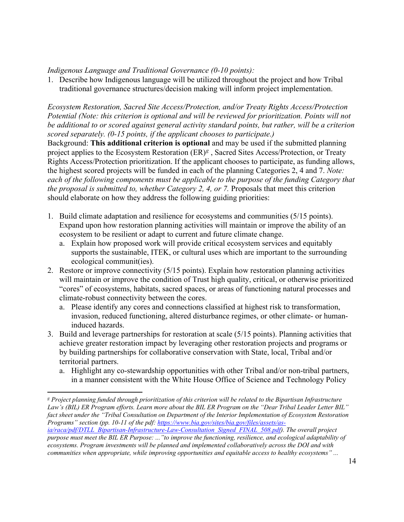*Indigenous Language and Traditional Governance (0-10 points):* 

1. Describe how Indigenous language will be utilized throughout the project and how Tribal traditional governance structures/decision making will inform project implementation.

 *scored separately. (0-15 points, if the applicant chooses to participate.) Ecosystem Restoration, Sacred Site Access/Protection, and/or Treaty Rights Access/Protection Potential (Note: this criterion is optional and will be reviewed for prioritization. Points will not be additional to or scored against general activity standard points, but rather, will be a criterion* 

 project applies to the Ecosystem Restoration (ER)*[g](#page-13-0)* , Sacred Sites Access/Protection, or Treaty each of the following components must be applicable to the purpose of the funding Category that should elaborate on how they address the following guiding priorities: Background: **This additional criterion is optional** and may be used if the submitted planning Rights Access/Protection prioritization. If the applicant chooses to participate, as funding allows, the highest scored projects will be funded in each of the planning Categories 2, 4 and 7. *Note: the proposal is submitted to, whether Category 2, 4, or 7. Proposals that meet this criterion* 

- 1. Build climate adaptation and resilience for ecosystems and communities (5/15 points). Expand upon how restoration planning activities will maintain or improve the ability of an ecosystem to be resilient or adapt to current and future climate change.
	- supports the sustainable, ITEK, or cultural uses which are important to the surrounding a. Explain how proposed work will provide critical ecosystem services and equitably ecological communit(ies).
- 2. Restore or improve connectivity (5/15 points). Explain how restoration planning activities climate-robust connectivity between the cores. will maintain or improve the condition of Trust high quality, critical, or otherwise prioritized "cores" of ecosystems, habitats, sacred spaces, or areas of functioning natural processes and
	- climate-robust connectivity between the cores.<br>a. Please identify any cores and connections classified at highest risk to transformation, invasion, reduced functioning, altered disturbance regimes, or other climate- or humaninduced hazards.
- 3. Build and leverage partnerships for restoration at scale (5/15 points). Planning activities that by building partnerships for collaborative conservation with State, local, Tribal and/or achieve greater restoration impact by leveraging other restoration projects and programs or territorial partners.
	- a. Highlight any co-stewardship opportunities with other Tribal and/or non-tribal partners, in a manner consistent with the White House Office of Science and Technology Policy

<span id="page-13-0"></span> *g Project planning funded through prioritization of this criterion will be related to the Bipartisan Infrastructure Law's (BIL) ER Program efforts. Learn more about the BIL ER Program on the "Dear Tribal Leader Letter BIL" fact sheet under the "Tribal Consultation on Department of the Interior Implementation of Ecosystem Restoration Programs" section (pp. 10-11 of the pdf[: https://www.bia.gov/sites/bia.gov/files/assets/as-](https://www.bia.gov/sites/bia.gov/files/assets/as-ia/raca/pdf/DTLL_Bipartisan-Infrastructure-Law-Consultation_Signed_FINAL_508.pdf) [ia/raca/pdf/DTLL\\_Bipartisan-Infrastructure-Law-Consultation\\_Signed\\_FINAL\\_508.pdf\)](https://www.bia.gov/sites/bia.gov/files/assets/as-ia/raca/pdf/DTLL_Bipartisan-Infrastructure-Law-Consultation_Signed_FINAL_508.pdf). The overall project purpose must meet the BIL ER Purpose: ..."to improve the functioning, resilience, and ecological adaptability of ecosystems. Program investments will be planned and implemented collaboratively across the DOI and with communities when appropriate, while improving opportunities and equitable access to healthy ecosystems" ...*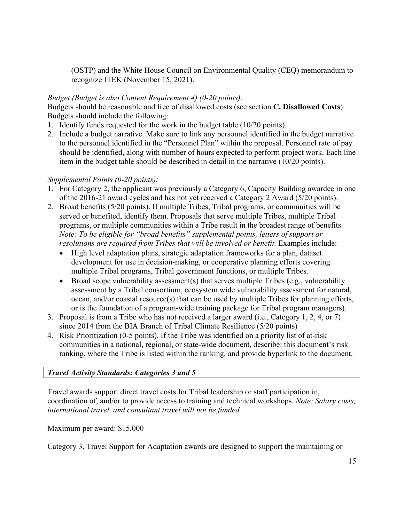(OSTP) and the White House Council on Environmental Quality (CEQ) memorandum to recognize ITEK (November 15, 2021).

# *Budget (Budget is also Content Requirement 4) (0-20 points):*

Budgets should be reasonable and free of disallowed costs (see section **C. Disallowed Costs**). Budgets should include the following:

- 1. Identify funds requested for the work in the budget table (10/20 points).
- item in the budget table should be described in detail in the narrative (10/20 points). 2. Include a budget narrative. Make sure to link any personnel identified in the budget narrative to the personnel identified in the "Personnel Plan" within the proposal. Personnel rate of pay should be identified, along with number of hours expected to perform project work. Each line

# *Supplemental Points (0-20 points):*

- of the 2016-21 award cycles and has not yet received a Category 2 Award (5/20 points). 1. For Category 2, the applicant was previously a Category 6, Capacity Building awardee in one
- 2. Broad benefits (5/20 points). If multiple Tribes, Tribal programs, or communities will be programs, or multiple communities within a Tribe result in the broadest range of benefits. resolutions are required from Tribes that will be involved or benefit. Examples include: served or benefited, identify them. Proposals that serve multiple Tribes, multiple Tribal *Note: To be eligible for "broad benefits" supplemental points, letters of support or* 
	- High level adaptation plans, strategic adaptation frameworks for a plan, dataset development for use in decision-making, or cooperative planning efforts covering multiple Tribal programs, Tribal government functions, or multiple Tribes.
	- Broad scope vulnerability assessment(s) that serves multiple Tribes (e.g., vulnerability assessment by a Tribal consortium, ecosystem wide vulnerability assessment for natural, ocean, and/or coastal resource(s) that can be used by multiple Tribes for planning efforts, or is the foundation of a program-wide training package for Tribal program managers).
- 3. Proposal is from a Tribe who has not received a larger award (i.e., Category 1, 2, 4, or 7) since 2014 from the BIA Branch of Tribal Climate Resilience (5/20 points)
- 4. Risk Prioritization (0-5 points). If the Tribe was identified on a priority list of at-risk communities in a national, regional, or state-wide document, describe: this document's risk ranking, where the Tribe is listed within the ranking, and provide hyperlink to the document.

# *Travel Activity Standards: Categories 3 and 5*

 Travel awards support direct travel costs for Tribal leadership or staff participation in, coordination of, and/or to provide access to training and technical workshops. *Note: Salary costs, international travel, and consultant travel will not be funded.* 

Maximum per award: \$15,000

Category 3, Travel Support for Adaptation awards are designed to support the maintaining or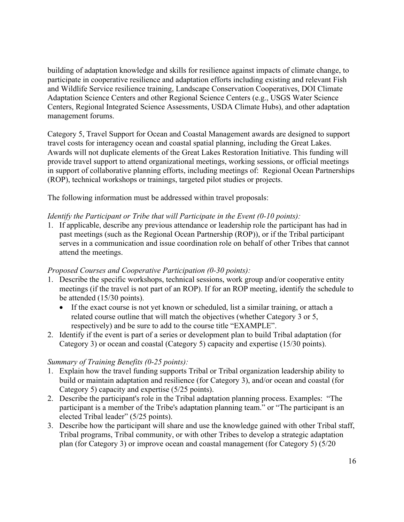management forums. building of adaptation knowledge and skills for resilience against impacts of climate change, to participate in cooperative resilience and adaptation efforts including existing and relevant Fish and Wildlife Service resilience training, Landscape Conservation Cooperatives, DOI Climate Adaptation Science Centers and other Regional Science Centers (e.g., USGS Water Science Centers, Regional Integrated Science Assessments, USDA Climate Hubs), and other adaptation

management forums.<br>Category 5, Travel Support for Ocean and Coastal Management awards are designed to support provide travel support to attend organizational meetings, working sessions, or official meetings travel costs for interagency ocean and coastal spatial planning, including the Great Lakes. Awards will not duplicate elements of the Great Lakes Restoration Initiative. This funding will in support of collaborative planning efforts, including meetings of: Regional Ocean Partnerships (ROP), technical workshops or trainings, targeted pilot studies or projects.

The following information must be addressed within travel proposals:

# *Identify the Participant or Tribe that will Participate in the Event (0-10 points):*

 serves in a communication and issue coordination role on behalf of other Tribes that cannot 1. If applicable, describe any previous attendance or leadership role the participant has had in past meetings (such as the Regional Ocean Partnership (ROP)), or if the Tribal participant attend the meetings.

# *Proposed Courses and Cooperative Participation (0-30 points):*

- be attended (15/30 points). 1. Describe the specific workshops, technical sessions, work group and/or cooperative entity meetings (if the travel is not part of an ROP). If for an ROP meeting, identify the schedule to
	- • If the exact course is not yet known or scheduled, list a similar training, or attach a related course outline that will match the objectives (whether Category 3 or 5, respectively) and be sure to add to the course title "EXAMPLE".
- Category 3) or ocean and coastal (Category 5) capacity and expertise (15/30 points). 2. Identify if the event is part of a series or development plan to build Tribal adaptation (for

# *Summary of Training Benefits (0-25 points):*

- 1. Explain how the travel funding supports Tribal or Tribal organization leadership ability to build or maintain adaptation and resilience (for Category 3), and/or ocean and coastal (for Category 5) capacity and expertise (5/25 points).
- 2. Describe the participant's role in the Tribal adaptation planning process. Examples: "The elected Tribal leader" (5/25 points). participant is a member of the Tribe's adaptation planning team." or "The participant is an
- 3. Describe how the participant will share and use the knowledge gained with other Tribal staff, Tribal programs, Tribal community, or with other Tribes to develop a strategic adaptation plan (for Category 3) or improve ocean and coastal management (for Category 5) (5/20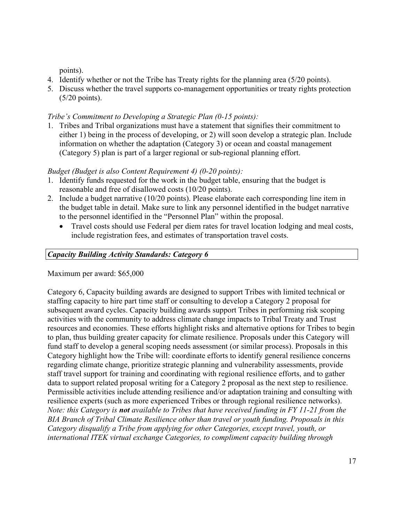points).

- 4. Identify whether or not the Tribe has Treaty rights for the planning area (5/20 points).
- 5. Discuss whether the travel supports co-management opportunities or treaty rights protection (5/20 points).

# *Tribe's Commitment to Developing a Strategic Plan (0-15 points):*

 either 1) being in the process of developing, or 2) will soon develop a strategic plan. Include information on whether the adaptation (Category 3) or ocean and coastal management 1. Tribes and Tribal organizations must have a statement that signifies their commitment to (Category 5) plan is part of a larger regional or sub-regional planning effort.

# *Budget (Budget is also Content Requirement 4) (0-20 points):*

- 1. Identify funds requested for the work in the budget table, ensuring that the budget is reasonable and free of disallowed costs (10/20 points).
- 2. Include a budget narrative (10/20 points). Please elaborate each corresponding line item in the budget table in detail. Make sure to link any personnel identified in the budget narrative to the personnel identified in the "Personnel Plan" within the proposal.
	- • Travel costs should use Federal per diem rates for travel location lodging and meal costs, include registration fees, and estimates of transportation travel costs.

# *Capacity Building Activity Standards: Category 6*

Maximum per award: \$65,000

 staffing capacity to hire part time staff or consulting to develop a Category 2 proposal for staff travel support for training and coordinating with regional resilience efforts, and to gather  *Note: this Category is not available to Tribes that have received funding in FY 11-21 from the international ITEK virtual exchange Categories, to compliment capacity building through*  Category 6, Capacity building awards are designed to support Tribes with limited technical or subsequent award cycles. Capacity building awards support Tribes in performing risk scoping activities with the community to address climate change impacts to Tribal Treaty and Trust resources and economies. These efforts highlight risks and alternative options for Tribes to begin to plan, thus building greater capacity for climate resilience. Proposals under this Category will fund staff to develop a general scoping needs assessment (or similar process). Proposals in this Category highlight how the Tribe will: coordinate efforts to identify general resilience concerns regarding climate change, prioritize strategic planning and vulnerability assessments, provide data to support related proposal writing for a Category 2 proposal as the next step to resilience. Permissible activities include attending resilience and/or adaptation training and consulting with resilience experts (such as more experienced Tribes or through regional resilience networks). *BIA Branch of Tribal Climate Resilience other than travel or youth funding. Proposals in this Category disqualify a Tribe from applying for other Categories, except travel, youth, or*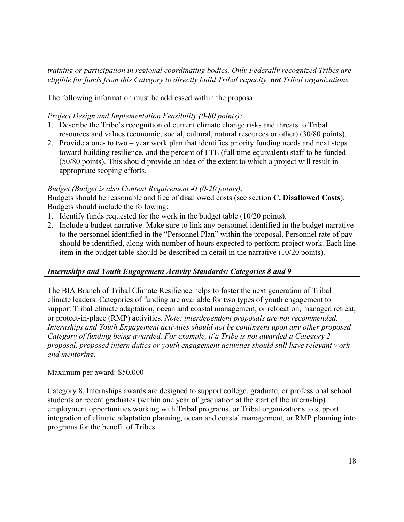*training or participation in regional coordinating bodies. Only Federally recognized Tribes are eligible for funds from this Category to directly build Tribal capacity, not Tribal organizations.* 

The following information must be addressed within the proposal:

#### *Project Design and Implementation Feasibility (0-80 points):*

- resources and values (economic, social, cultural, natural resources or other) (30/80 points). 1. Describe the Tribe's recognition of current climate change risks and threats to Tribal
- 2. Provide a one- to two year work plan that identifies priority funding needs and next steps appropriate scoping efforts. toward building resilience, and the percent of FTE (full time equivalent) staff to be funded (50/80 points). This should provide an idea of the extent to which a project will result in

#### *Budget (Budget is also Content Requirement 4) (0-20 points):*

Budgets should be reasonable and free of disallowed costs (see section **C. Disallowed Costs**). Budgets should include the following:

- 1. Identify funds requested for the work in the budget table (10/20 points).
- 2. Include a budget narrative. Make sure to link any personnel identified in the budget narrative to the personnel identified in the "Personnel Plan" within the proposal. Personnel rate of pay should be identified, along with number of hours expected to perform project work. Each line item in the budget table should be described in detail in the narrative (10/20 points).

#### *Internships and Youth Engagement Activity Standards: Categories 8 and 9*

 support Tribal climate adaptation, ocean and coastal management, or relocation, managed retreat, The BIA Branch of Tribal Climate Resilience helps to foster the next generation of Tribal climate leaders. Categories of funding are available for two types of youth engagement to or protect-in-place (RMP) activities. *Note: interdependent proposals are not recommended. Internships and Youth Engagement activities should not be contingent upon any other proposed Category of funding being awarded. For example, if a Tribe is not awarded a Category 2 proposal, proposed intern duties or youth engagement activities should still have relevant work and mentoring.* 

#### Maximum per award: \$50,000

Category 8, Internships awards are designed to support college, graduate, or professional school students or recent graduates (within one year of graduation at the start of the internship) employment opportunities working with Tribal programs, or Tribal organizations to support integration of climate adaptation planning, ocean and coastal management, or RMP planning into programs for the benefit of Tribes.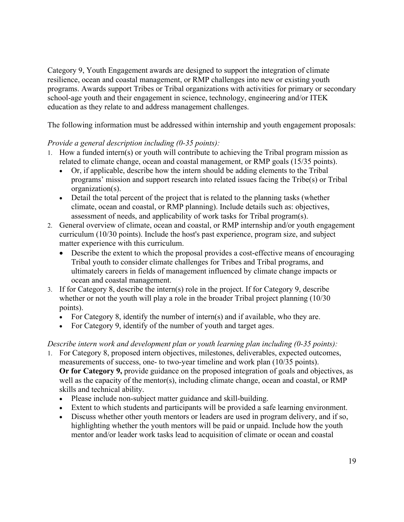school-age youth and their engagement in science, technology, engineering and/or ITEK Category 9, Youth Engagement awards are designed to support the integration of climate resilience, ocean and coastal management, or RMP challenges into new or existing youth programs. Awards support Tribes or Tribal organizations with activities for primary or secondary education as they relate to and address management challenges.

The following information must be addressed within internship and youth engagement proposals:

# *Provide a general description including (0-35 points):*

- related to climate change, ocean and coastal management, or RMP goals (15/35 points). 1. How a funded intern(s) or youth will contribute to achieving the Tribal program mission as
	- • Or, if applicable, describe how the intern should be adding elements to the Tribal programs' mission and support research into related issues facing the Tribe(s) or Tribal organization(s).
	- Detail the total percent of the project that is related to the planning tasks (whether climate, ocean and coastal, or RMP planning). Include details such as: objectives, assessment of needs, and applicability of work tasks for Tribal program(s).
- curriculum (10/30 points). Include the host's past experience, program size, and subject matter experience with this curriculum. 2. General overview of climate, ocean and coastal, or RMP internship and/or youth engagement
	- Describe the extent to which the proposal provides a cost-effective means of encouraging Tribal youth to consider climate challenges for Tribes and Tribal programs, and ultimately careers in fields of management influenced by climate change impacts or ocean and coastal management.
- 3. If for Category 8, describe the intern(s) role in the project. If for Category 9, describe whether or not the youth will play a role in the broader Tribal project planning (10/30) points).
	- For Category 8, identify the number of intern(s) and if available, who they are.
	- For Category 9, identify of the number of youth and target ages.

# *Describe intern work and development plan or youth learning plan including (0-35 points):*

- measurements of success, one- to two-year timeline and work plan (10/35 points). **Or for Category 9,** provide guidance on the proposed integration of goals and objectives, as well as the capacity of the mentor(s), including climate change, ocean and coastal, or RMP skills and technical ability. 1. For Category 8, proposed intern objectives, milestones, deliverables, expected outcomes,
	- Please include non-subject matter guidance and skill-building.
	- Extent to which students and participants will be provided a safe learning environment.
	- • Discuss whether other youth mentors or leaders are used in program delivery, and if so, mentor and/or leader work tasks lead to acquisition of climate or ocean and coastal highlighting whether the youth mentors will be paid or unpaid. Include how the youth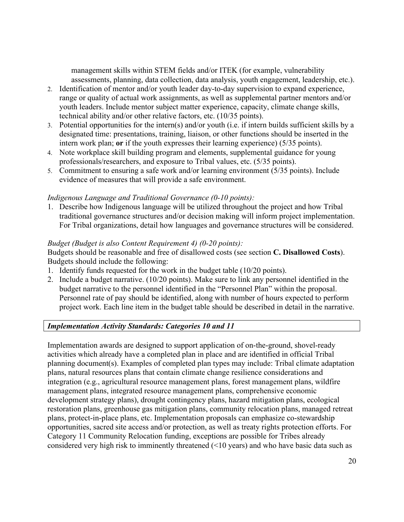management skills within STEM fields and/or ITEK (for example, vulnerability assessments, planning, data collection, data analysis, youth engagement, leadership, etc.).

- range or quality of actual work assignments, as well as supplemental partner mentors and/or youth leaders. Include mentor subject matter experience, capacity, climate change skills, technical ability and/or other relative factors, etc. (10/35 points). 2. Identification of mentor and/or youth leader day-to-day supervision to expand experience,
- 3. Potential opportunities for the intern(s) and/or youth (i.e. if intern builds sufficient skills by a intern work plan; **or** if the youth expresses their learning experience) (5/35 points). designated time: presentations, training, liaison, or other functions should be inserted in the
- professionals/researchers, and exposure to Tribal values, etc. (5/35 points). 4. Note workplace skill building program and elements, supplemental guidance for young
- 5. Commitment to ensuring a safe work and/or learning environment (5/35 points). Include evidence of measures that will provide a safe environment.

#### *Indigenous Language and Traditional Governance (0-10 points):*

1. Describe how Indigenous language will be utilized throughout the project and how Tribal traditional governance structures and/or decision making will inform project implementation. For Tribal organizations, detail how languages and governance structures will be considered.

# *Budget (Budget is also Content Requirement 4) (0-20 points):*

Budgets should be reasonable and free of disallowed costs (see section **C. Disallowed Costs**). Budgets should include the following:

- 1. Identify funds requested for the work in the budget table (10/20 points).
- project work. Each line item in the budget table should be described in detail in the narrative. 2. Include a budget narrative. (10/20 points). Make sure to link any personnel identified in the budget narrative to the personnel identified in the "Personnel Plan" within the proposal. Personnel rate of pay should be identified, along with number of hours expected to perform

# *Implementation Activity Standards: Categories 10 and 11*

 Implementation awards are designed to support application of on-the-ground, shovel-ready activities which already have a completed plan in place and are identified in official Tribal planning document(s). Examples of completed plan types may include: Tribal climate adaptation opportunities, sacred site access and/or protection, as well as treaty rights protection efforts. For plans, natural resources plans that contain climate change resilience considerations and integration (e.g., agricultural resource management plans, forest management plans, wildfire management plans, integrated resource management plans, comprehensive economic development strategy plans), drought contingency plans, hazard mitigation plans, ecological restoration plans, greenhouse gas mitigation plans, community relocation plans, managed retreat plans, protect-in-place plans, etc. Implementation proposals can emphasize co-stewardship Category 11 Community Relocation funding, exceptions are possible for Tribes already considered very high risk to imminently threatened (<10 years) and who have basic data such as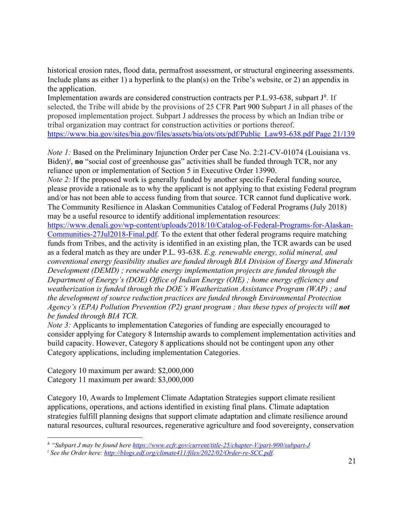the application. historical erosion rates, flood data, permafrost assessment, or structural engineering assessments. Include plans as either 1) a hyperlink to the plan(s) on the Tribe's website, or 2) an appendix in

 selected, the Tribe will abide by the provisions of 25 CFR Part 900 Subpart J in all phases of the proposed implementation project. Subpart J addresses the process by which an Indian tribe or Implementation awards are considered construction contracts per P.L.93-638, subpart J<sup>[h](#page-20-0)</sup>. If tribal organization may contract for construction activities or portions thereof. [https://www.bia.gov/sites/bia.gov/files/assets/bia/ots/ots/pdf/Public\\_Law93-638.pdf Page 21/139](https://www.bia.gov/sites/bia.gov/files/assets/bia/ots/ots/pdf/Public_Law93-638.pdf%20Page%2021/139) 

*Note 1:* Based on the Preliminary Injunction Order per Case No. 2:21-CV-01074 (Louisiana vs. B[i](#page-20-1)den)<sup>*i*</sup>, no "social cost of greenhouse gas" activities shall be funded through TCR, nor any reliance upon or implementation of Section 5 in Executive Order 13990.

 *Note 2:* If the proposed work is generally funded by another specific Federal funding source, please provide a rationale as to why the applicant is not applying to that existing Federal program and/or has not been able to access funding from that source. TCR cannot fund duplicative work. The Community Resilience in Alaskan Communities Catalog of Federal Programs (July 2018) may be a useful resource to identify additional implementation resources:

[Communities-27Jul2018-Final.pdf.](https://www.denali.gov/wp-content/uploads/2018/10/Catalog-of-Federal-Programs-for-Alaskan-Communities-27Jul2018-Final.pdf) To the extent that other federal programs require matching as a federal match as they are under P.L. 93-638. *E.g. renewable energy, solid mineral, and conventional energy feasibility studies are funded through BIA Division of Energy and Minerals Development (DEMD) ; renewable energy implementation projects are funded through the Department of Energy's (DOE) Office of Indian Energy (OIE) ; home energy efficiency and*  Agency's (EPA) Pollution Prevention (P2) grant program ; thus these types of projects will **not** [https://www.denali.gov/wp-content/uploads/2018/10/Catalog-of-Federal-Programs-for-Alaskan](https://www.denali.gov/wp-content/uploads/2018/10/Catalog-of-Federal-Programs-for-Alaskan-Communities-27Jul2018-Final.pdf)funds from Tribes, and the activity is identified in an existing plan, the TCR awards can be used *weatherization is funded through the DOE's Weatherization Assistance Program (WAP) ; and the development of source reduction practices are funded through Environmental Protection be funded through BIA TCR.* 

*Note 3:* Applicants to implementation Categories of funding are especially encouraged to consider applying for Category 8 Internship awards to complement implementation activities and build capacity. However, Category 8 applications should not be contingent upon any other Category applications, including implementation Categories.

Category 10 maximum per award: \$2,000,000 Category 11 maximum per award: \$3,000,000

Category 10, Awards to Implement Climate Adaptation Strategies support climate resilient applications, operations, and actions identified in existing final plans. Climate adaptation strategies fulfill planning designs that support climate adaptation and climate resilience around natural resources, cultural resources, regenerative agriculture and food sovereignty, conservation

<span id="page-20-0"></span><sup>&</sup>lt;sup>h</sup> "Subpart J may be [found here](http://blogs.edf.org/climate411/files/2022/02/Order-re-SCC.pdf) <u>https://www.ecfr.gov/current/title-25/chapter-V/part-900/subpart-J</u><br><sup>i</sup> See the Order here: <u>http://blogs.edf.org/climate411/files/2022/02/Order-re-SCC.pdf</u>.

<span id="page-20-1"></span><sup>&</sup>lt;sup>*i*</sup> See the Order here: http://blogs.edf.org/climate411/files/2022/02/Order-re-SCC.pdf.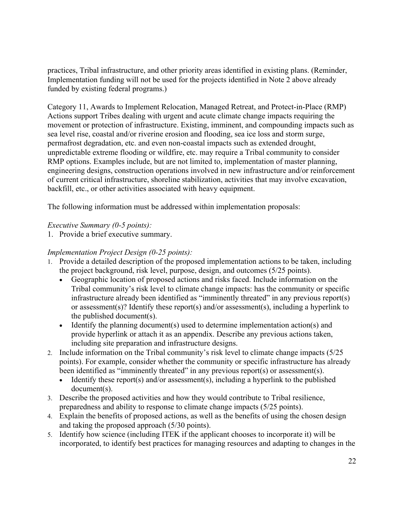practices, Tribal infrastructure, and other priority areas identified in existing plans. (Reminder, Implementation funding will not be used for the projects identified in Note 2 above already funded by existing federal programs.)

 Actions support Tribes dealing with urgent and acute climate change impacts requiring the sea level rise, coastal and/or riverine erosion and flooding, sea ice loss and storm surge, RMP options. Examples include, but are not limited to, implementation of master planning, Category 11, Awards to Implement Relocation, Managed Retreat, and Protect-in-Place (RMP) movement or protection of infrastructure. Existing, imminent, and compounding impacts such as permafrost degradation, etc. and even non-coastal impacts such as extended drought, unpredictable extreme flooding or wildfire, etc. may require a Tribal community to consider engineering designs, construction operations involved in new infrastructure and/or reinforcement of current critical infrastructure, shoreline stabilization, activities that may involve excavation, backfill, etc., or other activities associated with heavy equipment.

The following information must be addressed within implementation proposals:

# *Executive Summary (0-5 points):*

1. Provide a brief executive summary.

# *Implementation Project Design (0-25 points):*

- 1. Provide a detailed description of the proposed implementation actions to be taken, including the project background, risk level, purpose, design, and outcomes (5/25 points).
	- Geographic location of proposed actions and risks faced. Include information on the Tribal community's risk level to climate change impacts: has the community or specific infrastructure already been identified as "imminently threated" in any previous report(s) or assessment(s)? Identify these report(s) and/or assessment(s), including a hyperlink to the published document(s).
	- • Identify the planning document(s) used to determine implementation action(s) and provide hyperlink or attach it as an appendix. Describe any previous actions taken, including site preparation and infrastructure designs.
- 2. Include information on the Tribal community's risk level to climate change impacts (5/25 been identified as "imminently threated" in any previous report(s) or assessment(s). points). For example, consider whether the community or specific infrastructure has already
	- Identify these report(s) and/or assessment(s), including a hyperlink to the published document(s).
- preparedness and ability to response to climate change impacts (5/25 points). 3. Describe the proposed activities and how they would contribute to Tribal resilience,
- 4. Explain the benefits of proposed actions, as well as the benefits of using the chosen design and taking the proposed approach (5/30 points).
- 5. Identify how science (including ITEK if the applicant chooses to incorporate it) will be incorporated, to identify best practices for managing resources and adapting to changes in the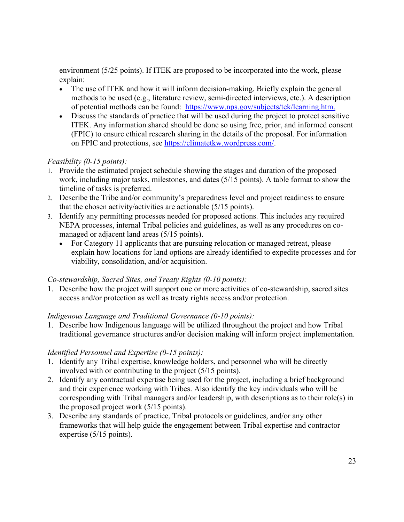environment (5/25 points). If ITEK are proposed to be incorporated into the work, please explain:

- of potential methods can be found: https://www.nps.gov/subjects/tek/learning.htm. • The use of ITEK and how it will inform decision-making. Briefly explain the general methods to be used (e.g., literature review, semi-directed interviews, etc.). A description
- Discuss the standards of practice that will be used during the project to protect sensitive ITEK. Any information shared should be done so using free, prior, and informed consent (FPIC) to ensure ethical research sharing in the details of the proposal. For information on FPIC and protections, see [https://climatetkw.wordpress.com/.](https://climatetkw.wordpress.com/)

# *Feasibility (0-15 points):*

- work, including major tasks, milestones, and dates (5/15 points). A table format to show the timeline of tasks is preferred. 1. Provide the estimated project schedule showing the stages and duration of the proposed
- that the chosen activity/activities are actionable (5/15 points). 2. Describe the Tribe and/or community's preparedness level and project readiness to ensure
- managed or adjacent land areas (5/15 points). 3. Identify any permitting processes needed for proposed actions. This includes any required NEPA processes, internal Tribal policies and guidelines, as well as any procedures on co-
	- explain how locations for land options are already identified to expedite processes and for • For Category 11 applicants that are pursuing relocation or managed retreat, please viability, consolidation, and/or acquisition.

# *Co-stewardship, Sacred Sites, and Treaty Rights (0-10 points):*

1. Describe how the project will support one or more activities of co-stewardship, sacred sites access and/or protection as well as treaty rights access and/or protection.

# *Indigenous Language and Traditional Governance (0-10 points):*

 1. Describe how Indigenous language will be utilized throughout the project and how Tribal traditional governance structures and/or decision making will inform project implementation.

# *Identified Personnel and Expertise (0-15 points):*

- involved with or contributing to the project (5/15 points). 1. Identify any Tribal expertise, knowledge holders, and personnel who will be directly
- 2. Identify any contractual expertise being used for the project, including a brief background and their experience working with Tribes. Also identify the key individuals who will be corresponding with Tribal managers and/or leadership, with descriptions as to their role(s) in the proposed project work (5/15 points).
- 3. Describe any standards of practice, Tribal protocols or guidelines, and/or any other frameworks that will help guide the engagement between Tribal expertise and contractor expertise (5/15 points).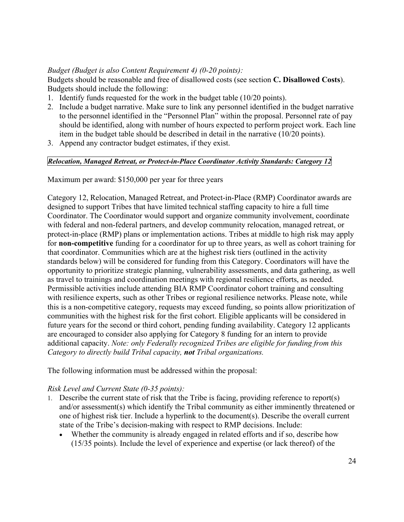# *Budget (Budget is also Content Requirement 4) (0-20 points):*

Budgets should be reasonable and free of disallowed costs (see section **C. Disallowed Costs**). Budgets should include the following:

- 1. Identify funds requested for the work in the budget table (10/20 points).
- 2. Include a budget narrative. Make sure to link any personnel identified in the budget narrative to the personnel identified in the "Personnel Plan" within the proposal. Personnel rate of pay should be identified, along with number of hours expected to perform project work. Each line item in the budget table should be described in detail in the narrative (10/20 points).
- 3. Append any contractor budget estimates, if they exist.

# *Relocation, Managed Retreat, or Protect-in-Place Coordinator Activity Standards: Category 12*

Maximum per award: \$150,000 per year for three years

 designed to support Tribes that have limited technical staffing capacity to hire a full time protect-in-place (RMP) plans or implementation actions. Tribes at middle to high risk may apply that coordinator. Communities which are at the highest risk tiers (outlined in the activity with resilience experts, such as other Tribes or regional resilience networks. Please note, while future years for the second or third cohort, pending funding availability. Category 12 applicants Category 12, Relocation, Managed Retreat, and Protect-in-Place (RMP) Coordinator awards are Coordinator. The Coordinator would support and organize community involvement, coordinate with federal and non-federal partners, and develop community relocation, managed retreat, or for **non-competitive** funding for a coordinator for up to three years, as well as cohort training for standards below) will be considered for funding from this Category. Coordinators will have the opportunity to prioritize strategic planning, vulnerability assessments, and data gathering, as well as travel to trainings and coordination meetings with regional resilience efforts, as needed. Permissible activities include attending BIA RMP Coordinator cohort training and consulting this is a non-competitive category, requests may exceed funding, so points allow prioritization of communities with the highest risk for the first cohort. Eligible applicants will be considered in are encouraged to consider also applying for Category 8 funding for an intern to provide additional capacity. *Note: only Federally recognized Tribes are eligible for funding from this Category to directly build Tribal capacity, not Tribal organizations.* 

The following information must be addressed within the proposal:

# *Risk Level and Current State (0-35 points):*

- 1. Describe the current state of risk that the Tribe is facing, providing reference to report(s) and/or assessment(s) which identify the Tribal community as either imminently threatened or one of highest risk tier. Include a hyperlink to the document(s). Describe the overall current state of the Tribe's decision-making with respect to RMP decisions. Include:
	- (15/35 points). Include the level of experience and expertise (or lack thereof) of the • Whether the community is already engaged in related efforts and if so, describe how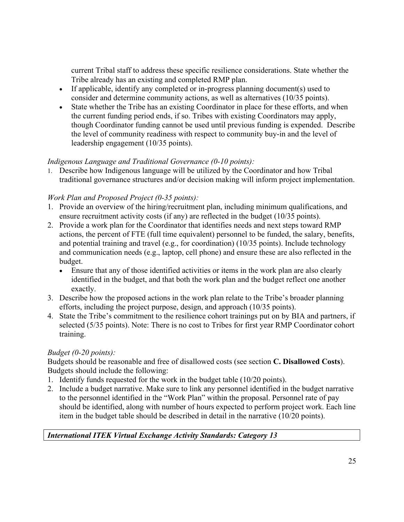Tribe already has an existing and completed RMP plan. current Tribal staff to address these specific resilience considerations. State whether the

- consider and determine community actions, as well as alternatives (10/35 points). • If applicable, identify any completed or in-progress planning document(s) used to
- • State whether the Tribe has an existing Coordinator in place for these efforts, and when though Coordinator funding cannot be used until previous funding is expended. Describe leadership engagement (10/35 points). the current funding period ends, if so. Tribes with existing Coordinators may apply, the level of community readiness with respect to community buy-in and the level of

# *Indigenous Language and Traditional Governance (0-10 points):*

1. Describe how Indigenous language will be utilized by the Coordinator and how Tribal traditional governance structures and/or decision making will inform project implementation.

# *Work Plan and Proposed Project (0-35 points):*

- ensure recruitment activity costs (if any) are reflected in the budget (10/35 points). 1. Provide an overview of the hiring/recruitment plan, including minimum qualifications, and
- and potential training and travel (e.g., for coordination) (10/35 points). Include technology budget. 2. Provide a work plan for the Coordinator that identifies needs and next steps toward RMP actions, the percent of FTE (full time equivalent) personnel to be funded, the salary, benefits, and communication needs (e.g., laptop, cell phone) and ensure these are also reflected in the
	- • Ensure that any of those identified activities or items in the work plan are also clearly identified in the budget, and that both the work plan and the budget reflect one another exactly.
- efforts, including the project purpose, design, and approach (10/35 points). 3. Describe how the proposed actions in the work plan relate to the Tribe's broader planning
- 4. State the Tribe's commitment to the resilience cohort trainings put on by BIA and partners, if selected (5/35 points). Note: There is no cost to Tribes for first year RMP Coordinator cohort training.

# *Budget (0-20 points):*

Budgets should be reasonable and free of disallowed costs (see section **C. Disallowed Costs**). Budgets should include the following:

- 1. Identify funds requested for the work in the budget table (10/20 points).
- to the personnel identified in the "Work Plan" within the proposal. Personnel rate of pay 2. Include a budget narrative. Make sure to link any personnel identified in the budget narrative should be identified, along with number of hours expected to perform project work. Each line item in the budget table should be described in detail in the narrative (10/20 points).

# *International ITEK Virtual Exchange Activity Standards: Category 13*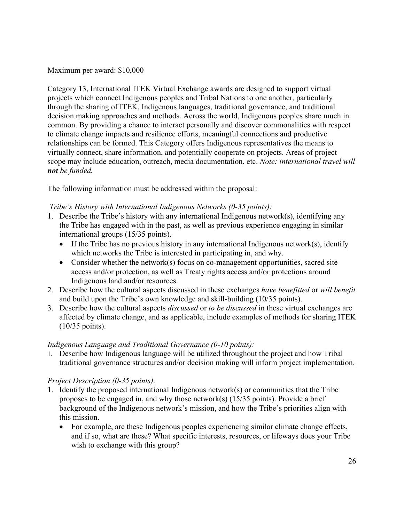Maximum per award: \$10,000

 Category 13, International ITEK Virtual Exchange awards are designed to support virtual projects which connect Indigenous peoples and Tribal Nations to one another, particularly decision making approaches and methods. Across the world, Indigenous peoples share much in common. By providing a chance to interact personally and discover commonalities with respect relationships can be formed. This Category offers Indigenous representatives the means to through the sharing of ITEK, Indigenous languages, traditional governance, and traditional to climate change impacts and resilience efforts, meaningful connections and productive virtually connect, share information, and potentially cooperate on projects. Areas of project scope may include education, outreach, media documentation, etc. *Note: international travel will not be funded.* 

The following information must be addressed within the proposal:

# *Tribe's History with International Indigenous Networks (0-35 points):*

- international groups (15/35 points). 1. Describe the Tribe's history with any international Indigenous network(s), identifying any the Tribe has engaged with in the past, as well as previous experience engaging in similar
	- If the Tribe has no previous history in any international Indigenous network(s), identify which networks the Tribe is interested in participating in, and why.
	- access and/or protection, as well as Treaty rights access and/or protections around • Consider whether the network(s) focus on co-management opportunities, sacred site Indigenous land and/or resources.
- 2. Describe how the cultural aspects discussed in these exchanges *have benefitted* or *will benefit*  and build upon the Tribe's own knowledge and skill-building (10/35 points).
- 3. Describe how the cultural aspects *discussed* or *to be discussed* in these virtual exchanges are (10/35 points). affected by climate change, and as applicable, include examples of methods for sharing ITEK

# *Indigenous Language and Traditional Governance (0-10 points):*

1. Describe how Indigenous language will be utilized throughout the project and how Tribal traditional governance structures and/or decision making will inform project implementation.

# *Project Description (0-35 points):*

- 1. Identify the proposed international Indigenous network(s) or communities that the Tribe proposes to be engaged in, and why those network(s) (15/35 points). Provide a brief background of the Indigenous network's mission, and how the Tribe's priorities align with this mission.
	- • For example, are these Indigenous peoples experiencing similar climate change effects, wish to exchange with this group?<br>
	26 and if so, what are these? What specific interests, resources, or lifeways does your Tribe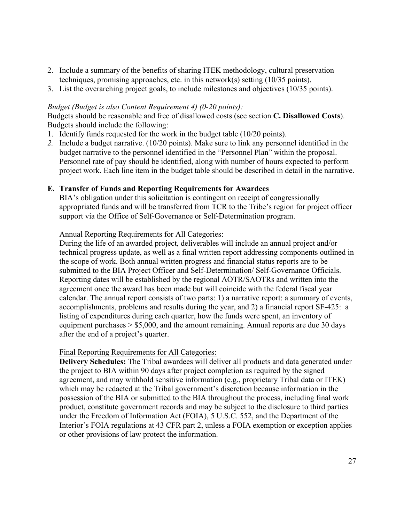- techniques, promising approaches, etc. in this network(s) setting (10/35 points). 2. Include a summary of the benefits of sharing ITEK methodology, cultural preservation
- 3. List the overarching project goals, to include milestones and objectives (10/35 points).

#### *Budget (Budget is also Content Requirement 4) (0-20 points):*

Budgets should be reasonable and free of disallowed costs (see section **C. Disallowed Costs**). Budgets should include the following:

- 1. Identify funds requested for the work in the budget table (10/20 points).
- budget narrative to the personnel identified in the "Personnel Plan" within the proposal. project work. Each line item in the budget table should be described in detail in the narrative. *2.* Include a budget narrative. (10/20 points). Make sure to link any personnel identified in the Personnel rate of pay should be identified, along with number of hours expected to perform

#### **E. Transfer of Funds and Reporting Requirements for Awardees**

 appropriated funds and will be transferred from TCR to the Tribe's region for project officer support via the Office of Self-Governance or Self-Determination program.<br>Annual Reporting Requirements for All Categories: BIA's obligation under this solicitation is contingent on receipt of congressionally

 During the life of an awarded project, deliverables will include an annual project and/or Reporting dates will be established by the regional AOTR/SAOTRs and written into the calendar. The annual report consists of two parts: 1) a narrative report: a summary of events, accomplishments, problems and results during the year, and 2) a financial report SF-425: a equipment purchases > \$5,000, and the amount remaining. Annual reports are due 30 days after the end of a project's quarter. technical progress update, as well as a final written report addressing components outlined in the scope of work. Both annual written progress and financial status reports are to be submitted to the BIA Project Officer and Self-Determination/ Self-Governance Officials. agreement once the award has been made but will coincide with the federal fiscal year listing of expenditures during each quarter, how the funds were spent, an inventory of

#### Final Reporting Requirements for All Categories:

**Delivery Schedules:** The Tribal awardees will deliver all products and data generated under the project to BIA within 90 days after project completion as required by the signed agreement, and may withhold sensitive information (e.g., proprietary Tribal data or ITEK) which may be redacted at the Tribal government's discretion because information in the possession of the BIA or submitted to the BIA throughout the process, including final work product, constitute government records and may be subject to the disclosure to third parties under the Freedom of Information Act (FOIA), 5 U.S.C. 552, and the Department of the Interior's FOIA regulations at 43 CFR part 2, unless a FOIA exemption or exception applies or other provisions of law protect the information.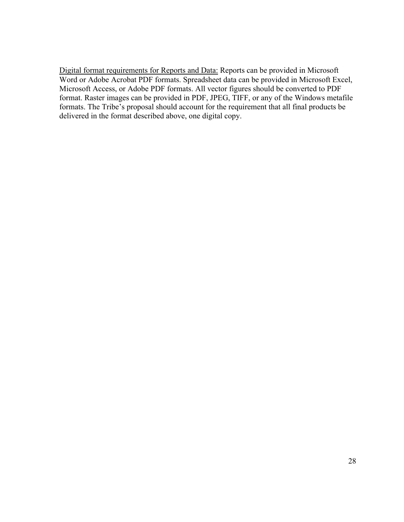formats. The Tribe's proposal should account for the requirement that all final products be delivered in the format described above, one digital copy. Digital format requirements for Reports and Data: Reports can be provided in Microsoft Word or Adobe Acrobat PDF formats. Spreadsheet data can be provided in Microsoft Excel, Microsoft Access, or Adobe PDF formats. All vector figures should be converted to PDF format. Raster images can be provided in PDF, JPEG, TIFF, or any of the Windows metafile delivered in the format described above, one digital copy. 28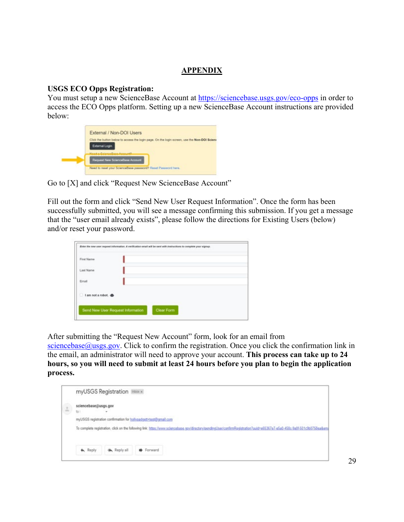# **APPENDIX**

#### **USGS ECO Opps Registration:**

You must setup a new ScienceBase Account at<https://sciencebase.usgs.gov/eco-opps>in order to access the ECO Opps platform. Setting up a new ScienceBase Account instructions are provided below:

| External / Non-DOI Users                                                                                       |
|----------------------------------------------------------------------------------------------------------------|
| Click the button below to access the login page. On the login screen, use the Non-DOI Sciena<br>External Login |
| Name of Balance Base, Assessed<br>Request New ScienceBase Account                                              |
| Need to reset your ScienceBase password? Reset Password here.                                                  |

Go to [X] and click "Request New ScienceBase Account"

Fill out the form and click "Send New User Request Information". Once the form has been successfully submitted, you will see a message confirming this submission. If you get a message that the "user email already exists", please follow the directions for Existing Users (below) and/or reset your password.

| Last Name              |  |  |
|------------------------|--|--|
| Email                  |  |  |
| I am not a robot.<br>Æ |  |  |

After submitting the "Request New Account" form, look for an email from

[sciencebase@usgs.gov.](mailto:sciencebase@usgs.gov) Click to confirm the registration. Once you click the confirmation link in the email, an administrator will need to approve your account. **This process can take up to 24 hours, so you will need to submit at least 24 hours before you plan to begin the application process.** 

|                    | myUSGS Registration Inbox x                                                                                                                                                |
|--------------------|----------------------------------------------------------------------------------------------------------------------------------------------------------------------------|
| $\frac{1}{\alpha}$ | sciencebase@usgs.gov<br>10 <sub>1</sub>                                                                                                                                    |
|                    | myUSGS registration confirmation for hollypadgett+test@gmail.com                                                                                                           |
|                    | To complete registration, click on the following link: https://www.sciencebase.gov/directory/pendingUser/confirmRegistration?uuid=e65367e7-e5e0-458c-9a01-511c5b0758ea&em/ |
|                    |                                                                                                                                                                            |
|                    | $\triangle$ Reply<br><b>MA</b> Reply all<br><b>B</b> Forward                                                                                                               |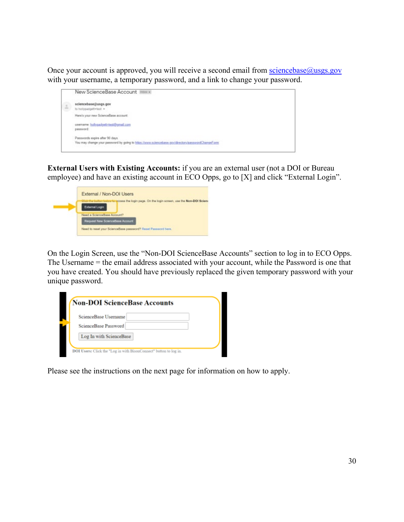Once your account is approved, you will receive a second email from sciencebase@usgs.gov with your username, a temporary password, and a link to change your password.

|   | New ScienceBase Account Intox x                                                                                                           |
|---|-------------------------------------------------------------------------------------------------------------------------------------------|
| ÷ | sciencebase@usgs.gov<br>to hollypadgett+test +                                                                                            |
|   | Here's your new ScienceBase account:                                                                                                      |
|   | usemame: holypadgett-test@gmail.com<br>password.                                                                                          |
|   | Passwords expire after 90 days.                                                                                                           |
|   | You may change your password by going to https://www.sciencebase.gov/directpry/passwordChangeForm<br>사람이 되자 이번 사람들은 일을 받아 보이지 않아 가게 되었어요? |

employee) and have an existing account in ECO Opps, go to [X] and click "External Login". **External Users with Existing Accounts:** if you are an external user (not a DOI or Bureau

| External / Non-DOI Users                                                                                      |
|---------------------------------------------------------------------------------------------------------------|
| We button below to goods the login page. On the login screen, use the Non-DOI Scient<br><b>External Login</b> |
| Need a ScienceBase Account?<br>Request New ScienceBase Account                                                |
| Need to reset your ScienceBase password? Reset Password here.                                                 |

On the Login Screen, use the "Non-DOI ScienceBase Accounts" section to log in to ECO Opps. The Username = the email address associated with your account, while the Password is one that you have created. You should have previously replaced the given temporary password with your unique password.

| ScienceBase Username    |  |  |
|-------------------------|--|--|
| ScienceBase Password    |  |  |
| Log In with ScienceBase |  |  |

Please see the instructions on the next page for information on how to apply.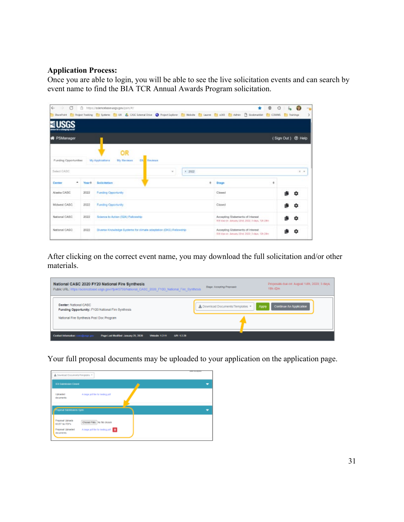#### **Application Process:**

 Once you are able to login, you will be able to see the live solicitation events and can search by event name to find the BIA TCR Annual Awards Program solicitation.

| $\circ$<br>$\leftarrow$<br>- 20      |        | □ https://sdencebase.usgs.gow/psm/W/<br>StausPoint ( Project Trading: C) Systems: C) UK & CASC External Drive @ Project Explorer (C) Website (C) Laurent (C) a365. C) Admin (T) Dockmarklet (C) COMMS: C) Dainings: |                               |         |                                                                                      | ø<br>G |                   | 150<br>2 |
|--------------------------------------|--------|---------------------------------------------------------------------------------------------------------------------------------------------------------------------------------------------------------------------|-------------------------------|---------|--------------------------------------------------------------------------------------|--------|-------------------|----------|
|                                      |        |                                                                                                                                                                                                                     |                               |         |                                                                                      |        |                   |          |
| <b>W</b> PSManager                   |        |                                                                                                                                                                                                                     |                               |         |                                                                                      |        | (Sign Out) @ Help |          |
|                                      |        | OR                                                                                                                                                                                                                  |                               |         |                                                                                      |        |                   |          |
| Funding Opportunities<br>Select CASC |        | My Applications<br>My Reviews                                                                                                                                                                                       | <b>DN</b> Reviews<br>$\infty$ | $+2022$ |                                                                                      |        | $x - x$           |          |
| ۰<br>Center                          | Yeart: | Solicitation                                                                                                                                                                                                        |                               | ÷       | Stage                                                                                | ÷      |                   |          |
| Alaska CASC                          | 2022   | <b>Funding Opportunity</b>                                                                                                                                                                                          |                               |         | Closed                                                                               |        | o                 |          |
| Midwest CASC                         | 2022   | Funding Opportunity                                                                                                                                                                                                 |                               |         | Closed                                                                               |        | ٥                 |          |
| National CASC                        | 2022   | Science to Action (\$2A) Fellowship                                                                                                                                                                                 |                               |         | Accepting Statements of Interest<br>300 650 00: January 22nd, 2022; 3 days, 12n 23ns |        | n                 |          |
| National CASC                        | 2022   | Diverse Knowledge Systems for climate adaptation (DKS) Fellowship                                                                                                                                                   |                               |         | Accepting Statements of Interest<br>50) das on January 22rd 2022; 5 days, 12t 38m    |        |                   |          |

After clicking on the correct event name, you may download the full solicitation and/or other materials.

| National CASC 2020 FY20 National Fire Synthesis<br>Public URL: https://sciencebase.usgs.gov/rtp/#/5759/National_CASC_2020_FY20_National_Fire_Synthesis_ | Proposals due on: August 14th, 2020; 3 days,<br>Steps: Accepting Proposals<br>19h 42m |
|---------------------------------------------------------------------------------------------------------------------------------------------------------|---------------------------------------------------------------------------------------|
| Center: National CASC<br>Funding Opportunity: FY20 National Fire Synthesis<br>National Fire Synthesis Post Doc Program                                  | ▲ Download Documents/Templates<br>Apply<br>Continue An Application                    |
| <b>Contact Information:</b><br>Page Last Madified: January 23, 2020<br><b>Windle 1211</b><br>MR 1228<br><b>LACIQUADE GOV</b>                            |                                                                                       |

Your full proposal documents may be uploaded to your application on the application page.

| A Developd Documents/Templotes                                      |                                                                    | <b>STATE SECTION</b> |
|---------------------------------------------------------------------|--------------------------------------------------------------------|----------------------|
| SOI Submission Closed                                               |                                                                    |                      |
| Uploaded<br>documents:                                              | A targe pot tile for testing pot                                   |                      |
| <b>Fingerus Submissions Open</b>                                    |                                                                    |                      |
| Properat Uploads<br>MJST be PDPs<br>Properat Uploaded<br>decements: | Choose Files No Tie (Rosen<br>A tage politic for testing political |                      |